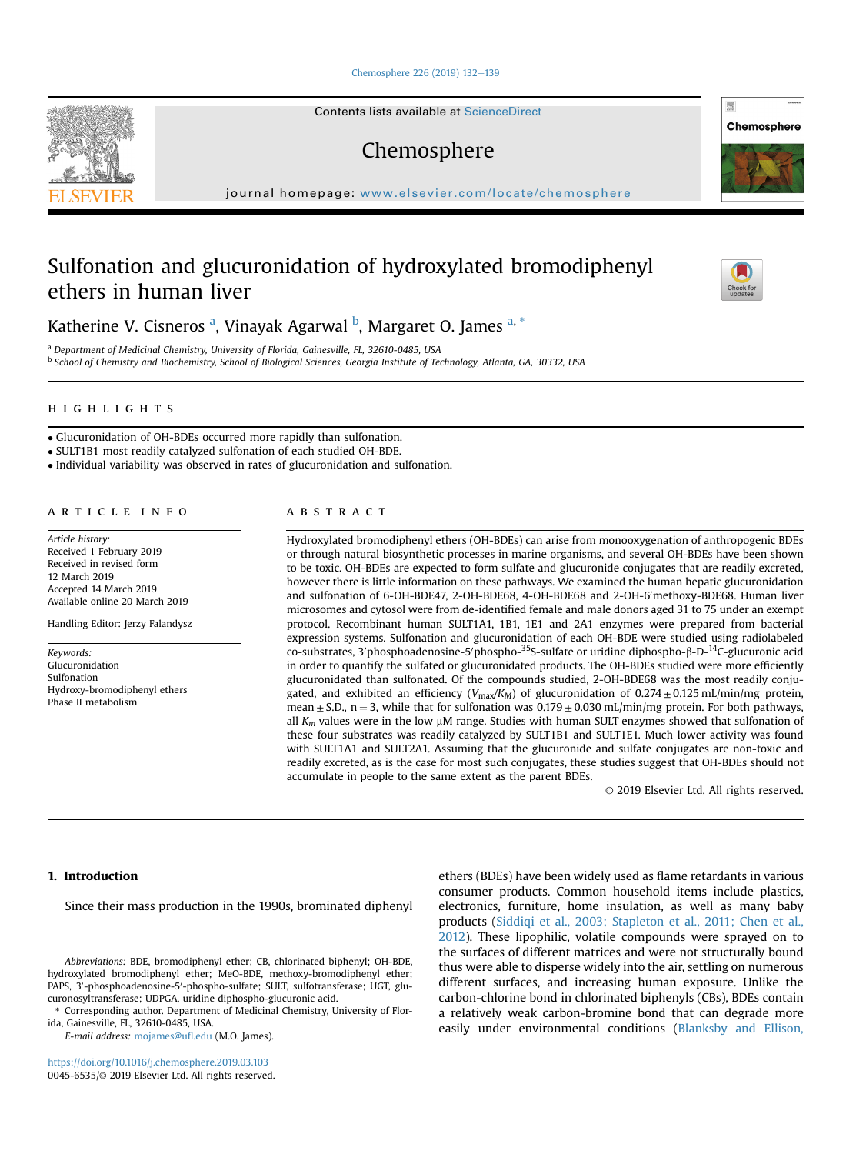#### [Chemosphere 226 \(2019\) 132](https://doi.org/10.1016/j.chemosphere.2019.03.103)-[139](https://doi.org/10.1016/j.chemosphere.2019.03.103)

Contents lists available at ScienceDirect

# Chemosphere

journal homepage: <www.elsevier.com/locate/chemosphere>

# Sulfonation and glucuronidation of hydroxylated bromodiphenyl ethers in human liver

Katherine V. Cisneros <sup>a</sup>, Vinayak Agarwal <sup>b</sup>, Margaret O. James <sup>a, \*</sup>

<sup>a</sup> Department of Medicinal Chemistry, University of Florida, Gainesville, FL, 32610-0485, USA <sup>b</sup> School of Chemistry and Biochemistry, School of Biological Sciences, Georgia Institute of Technology, Atlanta, GA, 30332, USA

- Glucuronidation of OH-BDEs occurred more rapidly than sulfonation.
- SULT1B1 most readily catalyzed sulfonation of each studied OH-BDE.

Individual variability was observed in rates of glucuronidation and sulfonation.

Article history: Received 1 February 2019 Received in revised form 12 March 2019 Accepted 14 March 2019 Available online 20 March 2019

Handling Editor: Jerzy Falandysz

Keywords: Glucuronidation Sulfonation Hydroxy-bromodiphenyl ethers Phase II metabolism

#### **ABSTRACT**

Hydroxylated bromodiphenyl ethers (OH-BDEs) can arise from monooxygenation of anthropogenic BDEs or through natural biosynthetic processes in marine organisms, and several OH-BDEs have been shown to be toxic. OH-BDEs are expected to form sulfate and glucuronide conjugates that are readily excreted, however there is little information on these pathways. We examined the human hepatic glucuronidation and sulfonation of 6-OH-BDE47, 2-OH-BDE68, 4-OH-BDE68 and 2-OH-6'methoxy-BDE68. Human liver microsomes and cytosol were from de-identified female and male donors aged 31 to 75 under an exempt protocol. Recombinant human SULT1A1, 1B1, 1E1 and 2A1 enzymes were prepared from bacterial expression systems. Sulfonation and glucuronidation of each OH-BDE were studied using radiolabeled  $\text{co-substrates}, 3' \text{phosphoadenosine-5'phospho-35S-sulfate}$  or uridine diphospho- $\beta$ -D- $\text{^{14}C}\text{-glucuronic acid}$ <br>in order to quantify the sulfated or glucuronidated products. The OH BDEs studied were more efficiently in order to quantify the sulfated or glucuronidated products. The OH-BDEs studied were more efficiently glucuronidated than sulfonated. Of the compounds studied, 2-OH-BDE68 was the most readily conjugated, and exhibited an efficiency ( $V_{\text{max}}/K_M$ ) of glucuronidation of 0.274  $\pm$  0.125 mL/min/mg protein, mean  $\pm$  S.D., n = 3, while that for sulfonation was 0.179  $\pm$  0.030 mL/min/mg protein. For both pathways, all  $K_m$  values were in the low  $\mu$ M range. Studies with human SULT enzymes showed that sulfonation of these four substrates was readily catalyzed by SULT1B1 and SULT1E1. Much lower activity was found with SULT1A1 and SULT2A1. Assuming that the glucuronide and sulfate conjugates are non-toxic and readily excreted, as is the case for most such conjugates, these studies suggest that OH-BDEs should not accumulate in people to the same extent as the parent BDEs.

© 2019 Elsevier Ltd. All rights reserved.

# 1. Introduction

Since their mass production in the 1990s, brominated diphenyl

Abbreviations: BDE, bromodiphenyl ether; CB, chlorinated biphenyl; OH-BDE, hydroxylated bromodiphenyl ether; MeO-BDE, methoxy-bromodiphenyl ether; PAPS, 3'-phosphoadenosine-5'-phospho-sulfate; SULT, sulfotransferase; UGT, glucuronosyltransferase; UDPGA, uridine diphospho-glucuronic acid.

\* Corresponding author. Department of Medicinal Chemistry, University of Florida, Gainesville, FL, 32610-0485, USA.

E-mail address: [mojames@u](mailto:mojames@ufl.edu)fl.edu (M.O. James).

<https://doi.org/10.1016/j.chemosphere.2019.03.103> 0045-6535/© 2019 Elsevier Ltd. All rights reserved. ethers (BDEs) have been widely used as flame retardants in various consumer products. Common household items include plastics, electronics, furniture, home insulation, as well as many baby products [\(Siddiqi et al., 2003; Stapleton et al., 2011; Chen et al.,](#page-7-0) [2012](#page-7-0)). These lipophilic, volatile compounds were sprayed on to the surfaces of different matrices and were not structurally bound thus were able to disperse widely into the air, settling on numerous different surfaces, and increasing human exposure. Unlike the carbon-chlorine bond in chlorinated biphenyls (CBs), BDEs contain a relatively weak carbon-bromine bond that can degrade more easily under environmental conditions ([Blanksby and Ellison,](#page-6-0)





壓 Chemosphere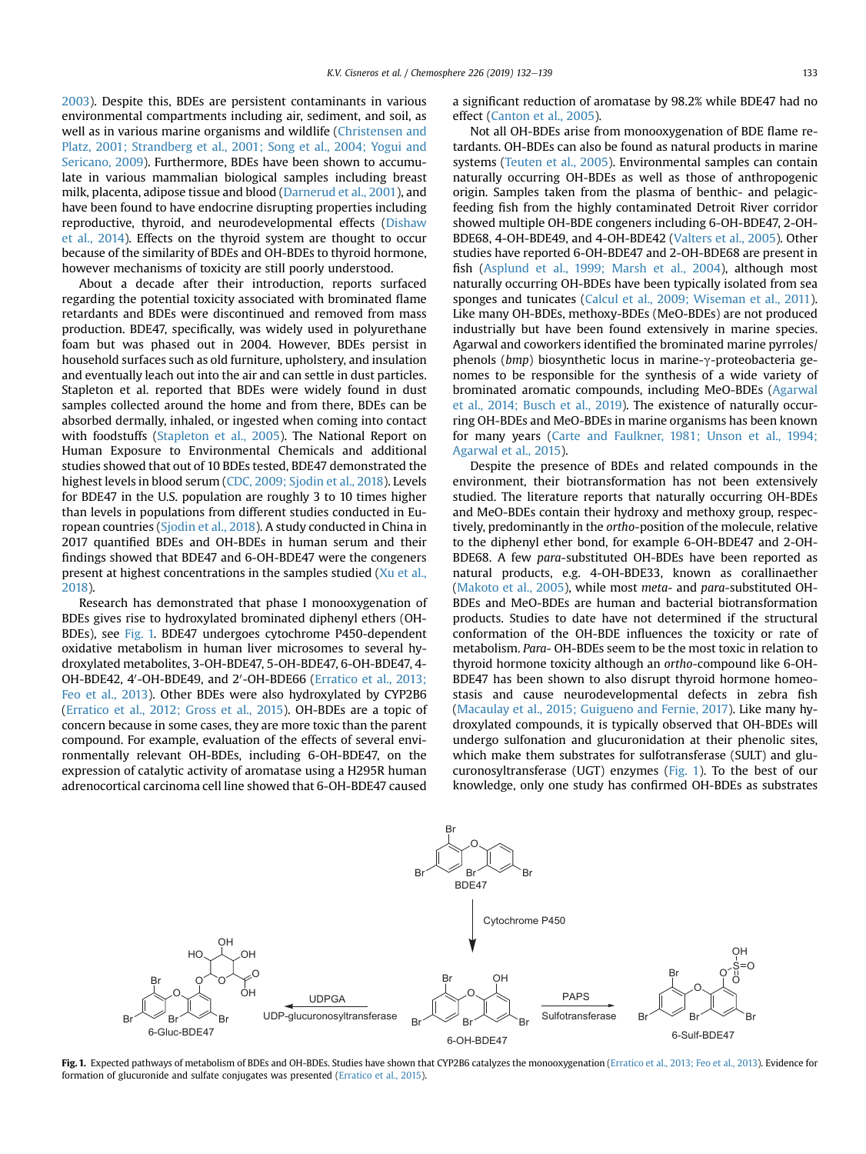[2003\)](#page-6-0). Despite this, BDEs are persistent contaminants in various environmental compartments including air, sediment, and soil, as well as in various marine organisms and wildlife [\(Christensen and](#page-6-0) [Platz, 2001; Strandberg et al., 2001; Song et al., 2004; Yogui and](#page-6-0) [Sericano, 2009\)](#page-6-0). Furthermore, BDEs have been shown to accumulate in various mammalian biological samples including breast milk, placenta, adipose tissue and blood [\(Darnerud et al., 2001\)](#page-6-0), and have been found to have endocrine disrupting properties including reproductive, thyroid, and neurodevelopmental effects ([Dishaw](#page-6-0) [et al., 2014\)](#page-6-0). Effects on the thyroid system are thought to occur because of the similarity of BDEs and OH-BDEs to thyroid hormone, however mechanisms of toxicity are still poorly understood.

About a decade after their introduction, reports surfaced regarding the potential toxicity associated with brominated flame retardants and BDEs were discontinued and removed from mass production. BDE47, specifically, was widely used in polyurethane foam but was phased out in 2004. However, BDEs persist in household surfaces such as old furniture, upholstery, and insulation and eventually leach out into the air and can settle in dust particles. Stapleton et al. reported that BDEs were widely found in dust samples collected around the home and from there, BDEs can be absorbed dermally, inhaled, or ingested when coming into contact with foodstuffs [\(Stapleton et al., 2005\)](#page-7-0). The National Report on Human Exposure to Environmental Chemicals and additional studies showed that out of 10 BDEs tested, BDE47 demonstrated the highest levels in blood serum ([CDC, 2009; Sjodin et al., 2018\)](#page-6-0). Levels for BDE47 in the U.S. population are roughly 3 to 10 times higher than levels in populations from different studies conducted in European countries ([Sjodin et al., 2018\)](#page-7-0). A study conducted in China in 2017 quantified BDEs and OH-BDEs in human serum and their findings showed that BDE47 and 6-OH-BDE47 were the congeners present at highest concentrations in the samples studied [\(Xu et al.,](#page-7-0) [2018\)](#page-7-0).

Research has demonstrated that phase I monooxygenation of BDEs gives rise to hydroxylated brominated diphenyl ethers (OH-BDEs), see Fig. 1. BDE47 undergoes cytochrome P450-dependent oxidative metabolism in human liver microsomes to several hydroxylated metabolites, 3-OH-BDE47, 5-OH-BDE47, 6-OH-BDE47, 4- OH-BDE42, 4'-OH-BDE49, and 2'-OH-BDE66 ([Erratico et al., 2013;](#page-6-0) [Feo et al., 2013\)](#page-6-0). Other BDEs were also hydroxylated by CYP2B6 ([Erratico et al., 2012; Gross et al., 2015\)](#page-6-0). OH-BDEs are a topic of concern because in some cases, they are more toxic than the parent compound. For example, evaluation of the effects of several environmentally relevant OH-BDEs, including 6-OH-BDE47, on the expression of catalytic activity of aromatase using a H295R human adrenocortical carcinoma cell line showed that 6-OH-BDE47 caused

a significant reduction of aromatase by 98.2% while BDE47 had no effect ([Canton et al., 2005](#page-6-0)).

Not all OH-BDEs arise from monooxygenation of BDE flame retardants. OH-BDEs can also be found as natural products in marine systems [\(Teuten et al., 2005](#page-7-0)). Environmental samples can contain naturally occurring OH-BDEs as well as those of anthropogenic origin. Samples taken from the plasma of benthic- and pelagicfeeding fish from the highly contaminated Detroit River corridor showed multiple OH-BDE congeners including 6-OH-BDE47, 2-OH-BDE68, 4-OH-BDE49, and 4-OH-BDE42 ([Valters et al., 2005\)](#page-7-0). Other studies have reported 6-OH-BDE47 and 2-OH-BDE68 are present in fish ([Asplund et al., 1999; Marsh et al., 2004\)](#page-6-0), although most naturally occurring OH-BDEs have been typically isolated from sea sponges and tunicates ([Calcul et al., 2009; Wiseman et al., 2011\)](#page-6-0). Like many OH-BDEs, methoxy-BDEs (MeO-BDEs) are not produced industrially but have been found extensively in marine species. Agarwal and coworkers identified the brominated marine pyrroles/ phenols ( $bmp$ ) biosynthetic locus in marine- $\gamma$ -proteobacteria genomes to be responsible for the synthesis of a wide variety of brominated aromatic compounds, including MeO-BDEs [\(Agarwal](#page-6-0) [et al., 2014; Busch et al., 2019\)](#page-6-0). The existence of naturally occurring OH-BDEs and MeO-BDEs in marine organisms has been known for many years ([Carte and Faulkner, 1981; Unson et al., 1994;](#page-6-0) [Agarwal et al., 2015\)](#page-6-0).

Despite the presence of BDEs and related compounds in the environment, their biotransformation has not been extensively studied. The literature reports that naturally occurring OH-BDEs and MeO-BDEs contain their hydroxy and methoxy group, respectively, predominantly in the ortho-position of the molecule, relative to the diphenyl ether bond, for example 6-OH-BDE47 and 2-OH-BDE68. A few para-substituted OH-BDEs have been reported as natural products, e.g. 4-OH-BDE33, known as corallinaether ([Makoto et al., 2005](#page-6-0)), while most meta- and para-substituted OH-BDEs and MeO-BDEs are human and bacterial biotransformation products. Studies to date have not determined if the structural conformation of the OH-BDE influences the toxicity or rate of metabolism. Para- OH-BDEs seem to be the most toxic in relation to thyroid hormone toxicity although an ortho-compound like 6-OH-BDE47 has been shown to also disrupt thyroid hormone homeostasis and cause neurodevelopmental defects in zebra fish ([Macaulay et al., 2015; Guigueno and Fernie, 2017](#page-6-0)). Like many hydroxylated compounds, it is typically observed that OH-BDEs will undergo sulfonation and glucuronidation at their phenolic sites, which make them substrates for sulfotransferase (SULT) and glucuronosyltransferase (UGT) enzymes (Fig. 1). To the best of our knowledge, only one study has confirmed OH-BDEs as substrates



Fig. 1. Expected pathways of metabolism of BDEs and OH-BDEs. Studies have shown that CYP2B6 catalyzes the monooxygenation [\(Erratico et al., 2013; Feo et al., 2013](#page-6-0)). Evidence for formation of glucuronide and sulfate conjugates was presented [\(Erratico et al., 2015\)](#page-6-0).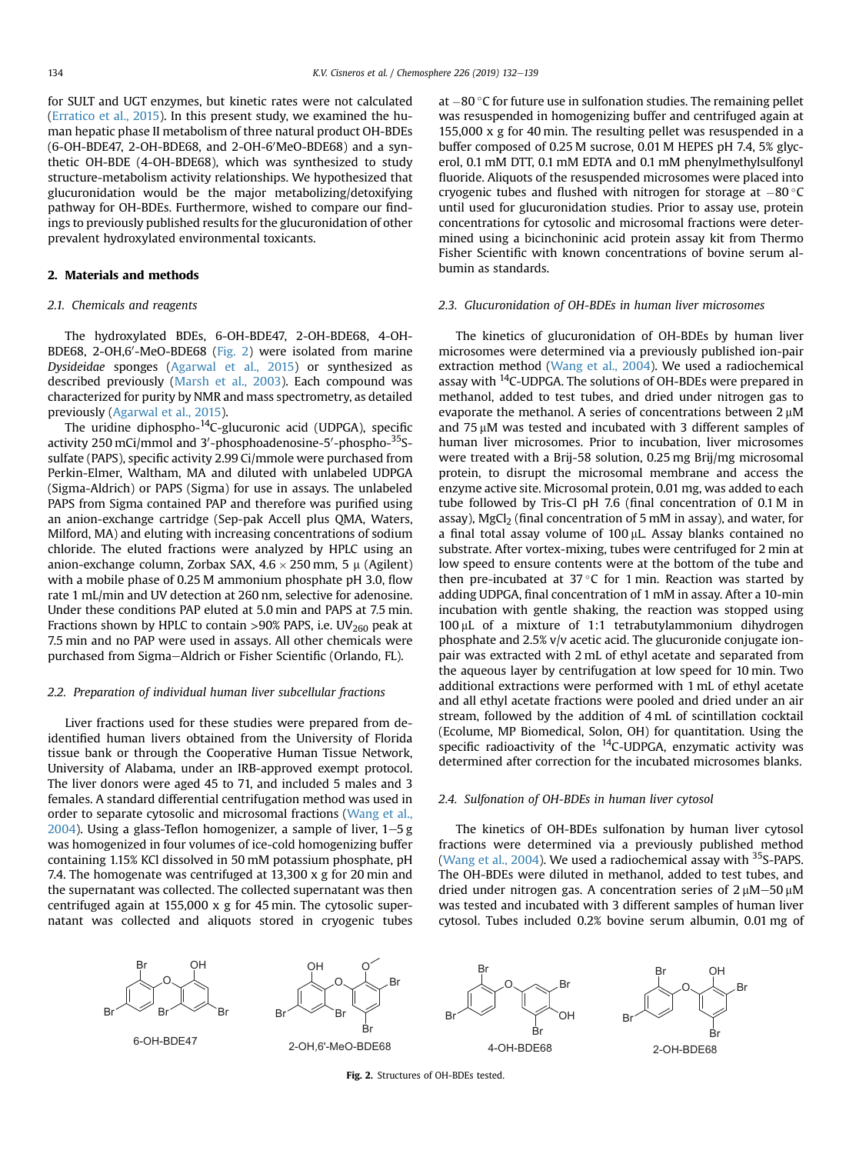for SULT and UGT enzymes, but kinetic rates were not calculated ([Erratico et al., 2015\)](#page-6-0). In this present study, we examined the human hepatic phase II metabolism of three natural product OH-BDEs (6-OH-BDE47, 2-OH-BDE68, and 2-OH-6'MeO-BDE68) and a synthetic OH-BDE (4-OH-BDE68), which was synthesized to study structure-metabolism activity relationships. We hypothesized that glucuronidation would be the major metabolizing/detoxifying pathway for OH-BDEs. Furthermore, wished to compare our findings to previously published results for the glucuronidation of other prevalent hydroxylated environmental toxicants.

# 2. Materials and methods

## 2.1. Chemicals and reagents

The hydroxylated BDEs, 6-OH-BDE47, 2-OH-BDE68, 4-OH-BDE68, 2-OH,6'-MeO-BDE68 (Fig. 2) were isolated from marine Dysideidae sponges ([Agarwal et al., 2015](#page-6-0)) or synthesized as described previously [\(Marsh et al., 2003](#page-6-0)). Each compound was characterized for purity by NMR and mass spectrometry, as detailed previously ([Agarwal et al., 2015](#page-6-0)).

The uridine diphospho-14C-glucuronic acid (UDPGA), specific activity 250 mCi/mmol and 3'-phosphoadenosine-5'-phospho-<sup>35</sup>Ssulfate (PAPS), specific activity 2.99 Ci/mmole were purchased from Perkin-Elmer, Waltham, MA and diluted with unlabeled UDPGA (Sigma-Aldrich) or PAPS (Sigma) for use in assays. The unlabeled PAPS from Sigma contained PAP and therefore was purified using an anion-exchange cartridge (Sep-pak Accell plus QMA, Waters, Milford, MA) and eluting with increasing concentrations of sodium chloride. The eluted fractions were analyzed by HPLC using an anion-exchange column, Zorbax SAX,  $4.6 \times 250$  mm, 5  $\mu$  (Agilent) with a mobile phase of 0.25 M ammonium phosphate pH 3.0, flow rate 1 mL/min and UV detection at 260 nm, selective for adenosine. Under these conditions PAP eluted at 5.0 min and PAPS at 7.5 min. Fractions shown by HPLC to contain  $>90\%$  PAPS, i.e. UV<sub>260</sub> peak at 7.5 min and no PAP were used in assays. All other chemicals were purchased from Sigma-Aldrich or Fisher Scientific (Orlando, FL).

#### 2.2. Preparation of individual human liver subcellular fractions

Liver fractions used for these studies were prepared from deidentified human livers obtained from the University of Florida tissue bank or through the Cooperative Human Tissue Network, University of Alabama, under an IRB-approved exempt protocol. The liver donors were aged 45 to 71, and included 5 males and 3 females. A standard differential centrifugation method was used in order to separate cytosolic and microsomal fractions ([Wang et al.,](#page-7-0) [2004](#page-7-0)). Using a glass-Teflon homogenizer, a sample of liver,  $1-5$  g was homogenized in four volumes of ice-cold homogenizing buffer containing 1.15% KCl dissolved in 50 mM potassium phosphate, pH 7.4. The homogenate was centrifuged at 13,300 x g for 20 min and the supernatant was collected. The collected supernatant was then centrifuged again at 155,000 x g for 45 min. The cytosolic supernatant was collected and aliquots stored in cryogenic tubes













at  $-80$  °C for future use in sulfonation studies. The remaining pellet was resuspended in homogenizing buffer and centrifuged again at 155,000 x g for 40 min. The resulting pellet was resuspended in a buffer composed of 0.25 M sucrose, 0.01 M HEPES pH 7.4, 5% glycerol, 0.1 mM DTT, 0.1 mM EDTA and 0.1 mM phenylmethylsulfonyl fluoride. Aliquots of the resuspended microsomes were placed into cryogenic tubes and flushed with nitrogen for storage at  $-80^{\circ}$ C until used for glucuronidation studies. Prior to assay use, protein concentrations for cytosolic and microsomal fractions were determined using a bicinchoninic acid protein assay kit from Thermo Fisher Scientific with known concentrations of bovine serum albumin as standards.

#### 2.3. Glucuronidation of OH-BDEs in human liver microsomes

The kinetics of glucuronidation of OH-BDEs by human liver microsomes were determined via a previously published ion-pair extraction method ([Wang et al., 2004](#page-7-0)). We used a radiochemical assay with 14C-UDPGA. The solutions of OH-BDEs were prepared in methanol, added to test tubes, and dried under nitrogen gas to evaporate the methanol. A series of concentrations between  $2 \mu M$ and 75 µM was tested and incubated with 3 different samples of human liver microsomes. Prior to incubation, liver microsomes were treated with a Brij-58 solution, 0.25 mg Brij/mg microsomal protein, to disrupt the microsomal membrane and access the enzyme active site. Microsomal protein, 0.01 mg, was added to each tube followed by Tris-Cl pH 7.6 (final concentration of 0.1 M in assay), MgCl<sub>2</sub> (final concentration of 5 mM in assay), and water, for a final total assay volume of  $100 \mu$ L. Assay blanks contained no substrate. After vortex-mixing, tubes were centrifuged for 2 min at low speed to ensure contents were at the bottom of the tube and then pre-incubated at  $37^{\circ}$ C for 1 min. Reaction was started by adding UDPGA, final concentration of 1 mM in assay. After a 10-min incubation with gentle shaking, the reaction was stopped using  $100 \mu$ L of a mixture of 1:1 tetrabutylammonium dihydrogen phosphate and 2.5% v/v acetic acid. The glucuronide conjugate ionpair was extracted with 2 mL of ethyl acetate and separated from the aqueous layer by centrifugation at low speed for 10 min. Two additional extractions were performed with 1 mL of ethyl acetate and all ethyl acetate fractions were pooled and dried under an air stream, followed by the addition of 4 mL of scintillation cocktail (Ecolume, MP Biomedical, Solon, OH) for quantitation. Using the specific radioactivity of the  $^{14}$ C-UDPGA, enzymatic activity was determined after correction for the incubated microsomes blanks.

### 2.4. Sulfonation of OH-BDEs in human liver cytosol

The kinetics of OH-BDEs sulfonation by human liver cytosol fractions were determined via a previously published method ([Wang et al., 2004\)](#page-7-0). We used a radiochemical assay with  $35$ S-PAPS. The OH-BDEs were diluted in methanol, added to test tubes, and dried under nitrogen gas. A concentration series of  $2 \mu M - 50 \mu M$ was tested and incubated with 3 different samples of human liver cytosol. Tubes included 0.2% bovine serum albumin, 0.01 mg of

Fig. 2. Structures of OH-BDEs tested.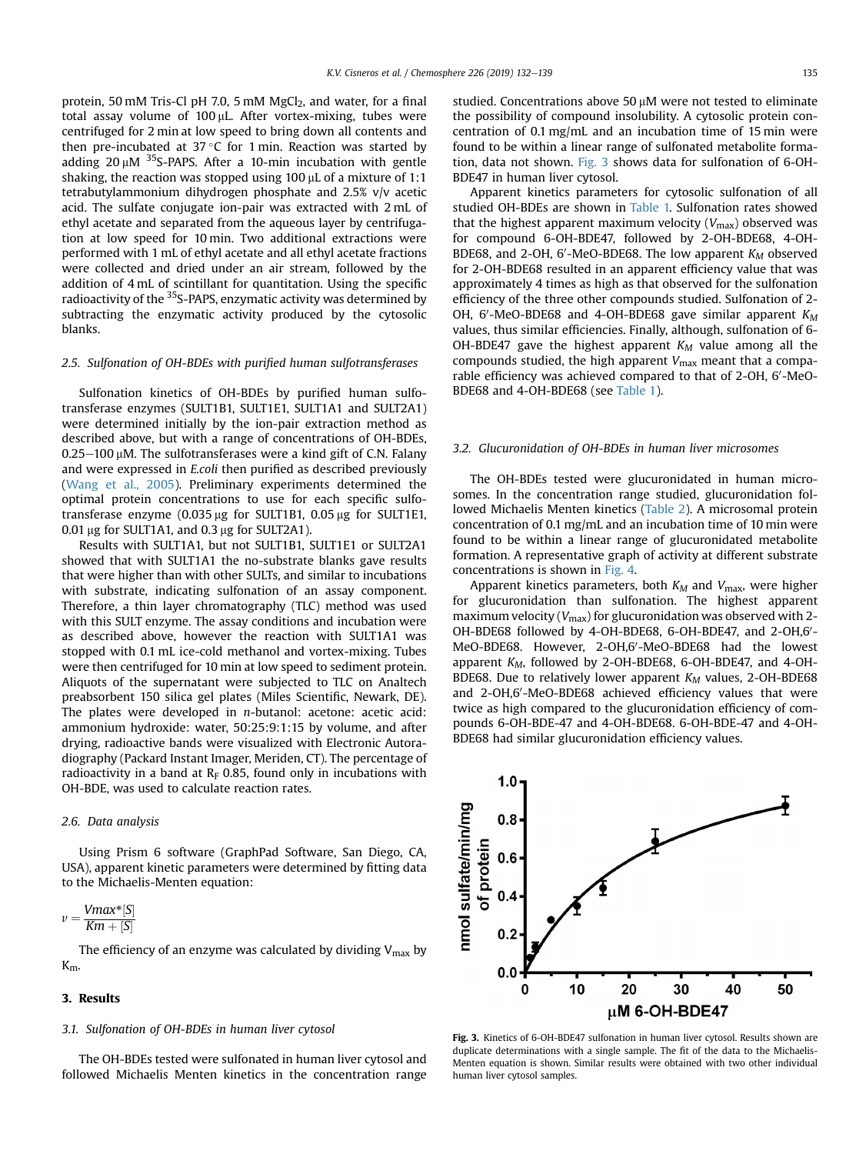<span id="page-3-0"></span>protein, 50 mM Tris-Cl pH 7.0, 5 mM MgCl<sub>2</sub>, and water, for a final total assay volume of  $100 \mu$ L. After vortex-mixing, tubes were centrifuged for 2 min at low speed to bring down all contents and then pre-incubated at  $37^{\circ}$ C for 1 min. Reaction was started by adding  $20 \mu$ M <sup>35</sup>S-PAPS. After a 10-min incubation with gentle shaking, the reaction was stopped using 100  $\mu$ L of a mixture of 1:1 tetrabutylammonium dihydrogen phosphate and 2.5% v/v acetic acid. The sulfate conjugate ion-pair was extracted with 2 mL of ethyl acetate and separated from the aqueous layer by centrifugation at low speed for 10 min. Two additional extractions were performed with 1 mL of ethyl acetate and all ethyl acetate fractions were collected and dried under an air stream, followed by the addition of 4 mL of scintillant for quantitation. Using the specific radioactivity of the 35S-PAPS, enzymatic activity was determined by subtracting the enzymatic activity produced by the cytosolic blanks.

# 2.5. Sulfonation of OH-BDEs with purified human sulfotransferases

Sulfonation kinetics of OH-BDEs by purified human sulfotransferase enzymes (SULT1B1, SULT1E1, SULT1A1 and SULT2A1) were determined initially by the ion-pair extraction method as described above, but with a range of concentrations of OH-BDEs,  $0.25-100$  uM. The sulfotransferases were a kind gift of C.N. Falany and were expressed in E.coli then purified as described previously ([Wang et al., 2005](#page-7-0)). Preliminary experiments determined the optimal protein concentrations to use for each specific sulfotransferase enzyme (0.035  $\mu$ g for SULT1B1, 0.05  $\mu$ g for SULT1E1,  $0.01 \,\mu$ g for SULT1A1, and 0.3  $\mu$ g for SULT2A1).

Results with SULT1A1, but not SULT1B1, SULT1E1 or SULT2A1 showed that with SULT1A1 the no-substrate blanks gave results that were higher than with other SULTs, and similar to incubations with substrate, indicating sulfonation of an assay component. Therefore, a thin layer chromatography (TLC) method was used with this SULT enzyme. The assay conditions and incubation were as described above, however the reaction with SULT1A1 was stopped with 0.1 mL ice-cold methanol and vortex-mixing. Tubes were then centrifuged for 10 min at low speed to sediment protein. Aliquots of the supernatant were subjected to TLC on Analtech preabsorbent 150 silica gel plates (Miles Scientific, Newark, DE). The plates were developed in n-butanol: acetone: acetic acid: ammonium hydroxide: water, 50:25:9:1:15 by volume, and after drying, radioactive bands were visualized with Electronic Autoradiography (Packard Instant Imager, Meriden, CT). The percentage of radioactivity in a band at  $R_F$  0.85, found only in incubations with OH-BDE, was used to calculate reaction rates.

#### 2.6. Data analysis

Using Prism 6 software (GraphPad Software, San Diego, CA, USA), apparent kinetic parameters were determined by fitting data to the Michaelis-Menten equation:

$$
v = \frac{Vmax^*[S]}{Km + [S]}
$$

The efficiency of an enzyme was calculated by dividing  $V_{\text{max}}$  by Km.

# 3. Results

### 3.1. Sulfonation of OH-BDEs in human liver cytosol

The OH-BDEs tested were sulfonated in human liver cytosol and followed Michaelis Menten kinetics in the concentration range studied. Concentrations above 50 µM were not tested to eliminate the possibility of compound insolubility. A cytosolic protein concentration of 0.1 mg/mL and an incubation time of 15 min were found to be within a linear range of sulfonated metabolite formation, data not shown. Fig. 3 shows data for sulfonation of 6-OH-BDE47 in human liver cytosol.

Apparent kinetics parameters for cytosolic sulfonation of all studied OH-BDEs are shown in [Table 1.](#page-4-0) Sulfonation rates showed that the highest apparent maximum velocity  $(V_{\text{max}})$  observed was for compound 6-OH-BDE47, followed by 2-OH-BDE68, 4-OH-BDE68, and 2-OH, 6'-MeO-BDE68. The low apparent  $K_M$  observed for 2-OH-BDE68 resulted in an apparent efficiency value that was approximately 4 times as high as that observed for the sulfonation efficiency of the three other compounds studied. Sulfonation of 2- OH, 6'-MeO-BDE68 and 4-OH-BDE68 gave similar apparent  $K_M$ values, thus similar efficiencies. Finally, although, sulfonation of 6- OH-BDE47 gave the highest apparent  $K_M$  value among all the compounds studied, the high apparent  $V_{\text{max}}$  meant that a comparable efficiency was achieved compared to that of 2-OH, 6'-MeO-BDE68 and 4-OH-BDE68 (see [Table 1](#page-4-0)).

# 3.2. Glucuronidation of OH-BDEs in human liver microsomes

The OH-BDEs tested were glucuronidated in human microsomes. In the concentration range studied, glucuronidation followed Michaelis Menten kinetics [\(Table 2\)](#page-4-0). A microsomal protein concentration of 0.1 mg/mL and an incubation time of 10 min were found to be within a linear range of glucuronidated metabolite formation. A representative graph of activity at different substrate concentrations is shown in [Fig. 4](#page-4-0).

Apparent kinetics parameters, both  $K_M$  and  $V_{\text{max}}$ , were higher for glucuronidation than sulfonation. The highest apparent maximum velocity ( $V_{\text{max}}$ ) for glucuronidation was observed with 2- $OH$ -BDE68 followed by 4-OH-BDE68, 6-OH-BDE47, and 2-OH,6 $^{\prime}$ -MeO-BDE68. However, 2-OH,6'-MeO-BDE68 had the lowest apparent  $K_M$ , followed by 2-OH-BDE68, 6-OH-BDE47, and 4-OH-BDE68. Due to relatively lower apparent  $K_M$  values, 2-OH-BDE68 and 2-OH,6'-MeO-BDE68 achieved efficiency values that were twice as high compared to the glucuronidation efficiency of compounds 6-OH-BDE-47 and 4-OH-BDE68. 6-OH-BDE-47 and 4-OH-BDE68 had similar glucuronidation efficiency values.



Fig. 3. Kinetics of 6-OH-BDE47 sulfonation in human liver cytosol. Results shown are duplicate determinations with a single sample. The fit of the data to the Michaelis-Menten equation is shown. Similar results were obtained with two other individual human liver cytosol samples.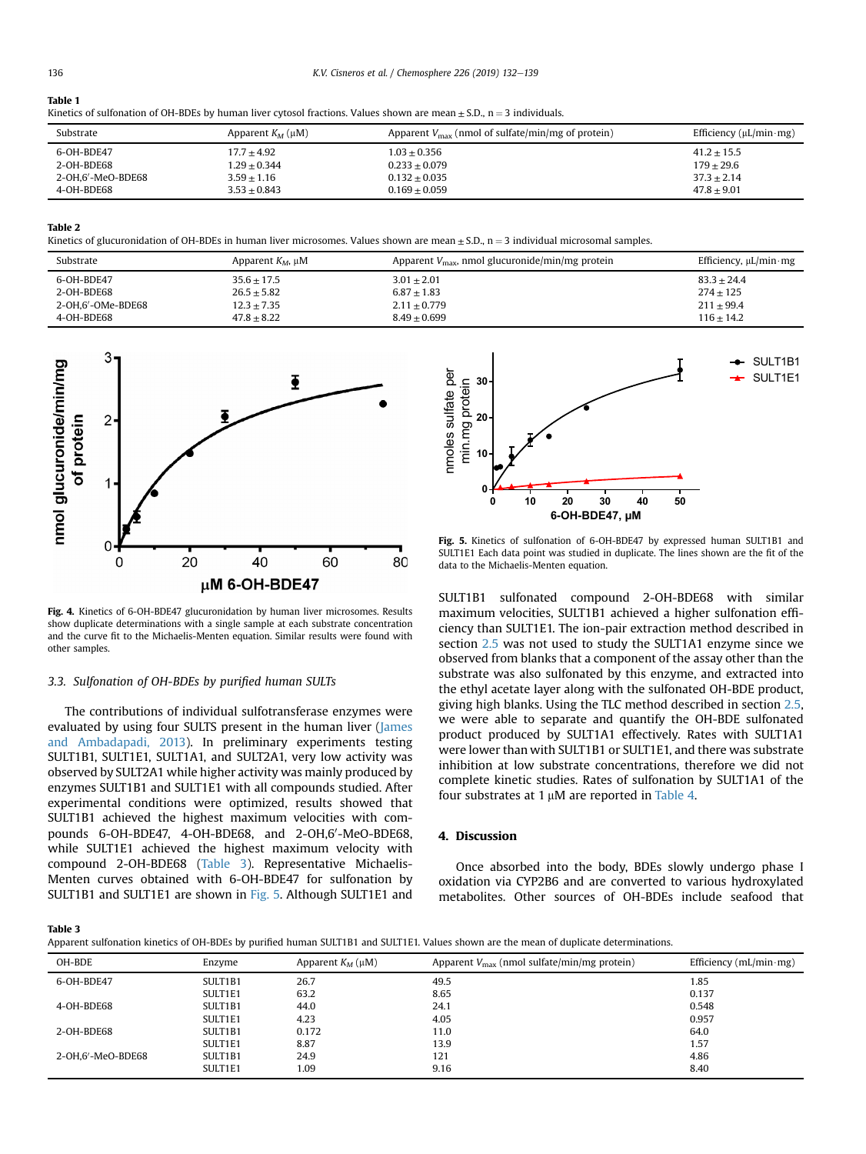# <span id="page-4-0"></span>Table 1

|  |  | Kinetics of sulfonation of OH-BDEs by human liver cytosol fractions. Values shown are mean $\pm$ S.D., n = 3 individuals. |
|--|--|---------------------------------------------------------------------------------------------------------------------------|
|--|--|---------------------------------------------------------------------------------------------------------------------------|

| Substrate         | Apparent $K_M(\mu M)$ | Apparent $V_{\text{max}}$ (nmol of sulfate/min/mg of protein) | Efficiency ( $\mu$ L/min·mg) |
|-------------------|-----------------------|---------------------------------------------------------------|------------------------------|
| 6-OH-BDE47        | $17.7 + 4.92$         | $1.03 + 0.356$                                                | $41.2 + 15.5$                |
| 2-OH-BDE68        | $1.29 + 0.344$        | $0.233 + 0.079$                                               | $179 + 29.6$                 |
| 2-OH.6′-MeO-BDE68 | $3.59 + 1.16$         | $0.132 + 0.035$                                               | $37.3 + 2.14$                |
| 4-OH-BDE68        | $3.53 + 0.843$        | $0.169 + 0.059$                                               | $47.8 + 9.01$                |

Table 2

Kinetics of glucuronidation of OH-BDEs in human liver microsomes. Values shown are mean  $\pm$  S.D., n = 3 individual microsomal samples.

| Substrate         | Apparent $K_M$ , $\mu$ M | Apparent $V_{\text{max}}$ , nmol glucuronide/min/mg protein | Efficiency, $\mu L/min$ mg |
|-------------------|--------------------------|-------------------------------------------------------------|----------------------------|
| 6-OH-BDE47        | $35.6 + 17.5$            | $3.01 + 2.01$                                               | $83.3 + 24.4$              |
| 2-OH-BDE68        | $26.5 + 5.82$            | $6.87 + 1.83$                                               | $274 + 125$                |
| 2-OH.6'-OMe-BDE68 | $12.3 + 7.35$            | $2.11 \pm 0.779$                                            | $211 + 99.4$               |
| 4-OH-BDE68        | $47.8 + 8.22$            | $8.49 + 0.699$                                              | $116 + 14.2$               |



Fig. 4. Kinetics of 6-OH-BDE47 glucuronidation by human liver microsomes. Results show duplicate determinations with a single sample at each substrate concentration and the curve fit to the Michaelis-Menten equation. Similar results were found with other samples.

#### 3.3. Sulfonation of OH-BDEs by purified human SULTs

The contributions of individual sulfotransferase enzymes were evaluated by using four SULTS present in the human liver ([James](#page-6-0) [and Ambadapadi, 2013\)](#page-6-0). In preliminary experiments testing SULT1B1, SULT1E1, SULT1A1, and SULT2A1, very low activity was observed by SULT2A1 while higher activity was mainly produced by enzymes SULT1B1 and SULT1E1 with all compounds studied. After experimental conditions were optimized, results showed that SULT1B1 achieved the highest maximum velocities with compounds 6-OH-BDE47, 4-OH-BDE68, and 2-OH,6'-MeO-BDE68, while SULT1E1 achieved the highest maximum velocity with compound 2-OH-BDE68 (Table 3). Representative Michaelis-Menten curves obtained with 6-OH-BDE47 for sulfonation by SULT1B1 and SULT1E1 are shown in Fig. 5. Although SULT1E1 and



Fig. 5. Kinetics of sulfonation of 6-OH-BDE47 by expressed human SULT1B1 and SULT1E1 Each data point was studied in duplicate. The lines shown are the fit of the data to the Michaelis-Menten equation.

SULT1B1 sulfonated compound 2-OH-BDE68 with similar maximum velocities, SULT1B1 achieved a higher sulfonation efficiency than SULT1E1. The ion-pair extraction method described in section [2.5](#page-3-0) was not used to study the SULT1A1 enzyme since we observed from blanks that a component of the assay other than the substrate was also sulfonated by this enzyme, and extracted into the ethyl acetate layer along with the sulfonated OH-BDE product, giving high blanks. Using the TLC method described in section [2.5,](#page-3-0) we were able to separate and quantify the OH-BDE sulfonated product produced by SULT1A1 effectively. Rates with SULT1A1 were lower than with SULT1B1 or SULT1E1, and there was substrate inhibition at low substrate concentrations, therefore we did not complete kinetic studies. Rates of sulfonation by SULT1A1 of the four substrates at  $1 \mu$ M are reported in [Table 4.](#page-5-0)

# 4. Discussion

Once absorbed into the body, BDEs slowly undergo phase I oxidation via CYP2B6 and are converted to various hydroxylated metabolites. Other sources of OH-BDEs include seafood that

Table 3

Apparent sulfonation kinetics of OH-BDEs by purified human SULT1B1 and SULT1E1. Values shown are the mean of duplicate determinations.

| OH-BDE            | Enzyme  | Apparent $K_M(\mu M)$ | Apparent $V_{\text{max}}$ (nmol sulfate/min/mg protein) | Efficiency $(mL/min·mg)$ |
|-------------------|---------|-----------------------|---------------------------------------------------------|--------------------------|
| 6-OH-BDE47        | SULT1B1 | 26.7                  | 49.5                                                    | 1.85                     |
|                   | SULT1E1 | 63.2                  | 8.65                                                    | 0.137                    |
| 4-OH-BDE68        | SULT1B1 | 44.0                  | 24.1                                                    | 0.548                    |
|                   | SULT1E1 | 4.23                  | 4.05                                                    | 0.957                    |
| 2-OH-BDE68        | SULT1B1 | 0.172                 | 11.0                                                    | 64.0                     |
|                   | SULT1E1 | 8.87                  | 13.9                                                    | 1.57                     |
| 2-OH.6'-MeO-BDE68 | SULT1B1 | 24.9                  | 121                                                     | 4.86                     |
|                   | SULT1E1 | 1.09                  | 9.16                                                    | 8.40                     |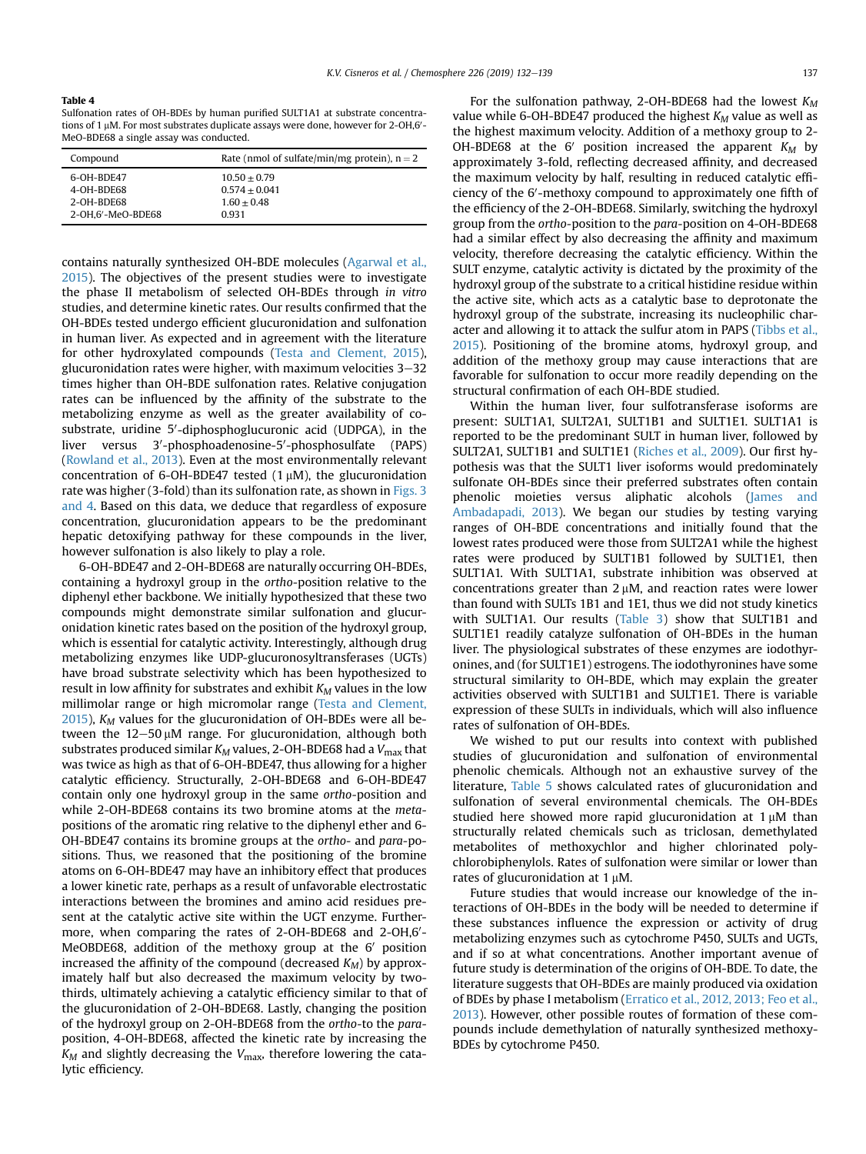#### <span id="page-5-0"></span>Table 4

Sulfonation rates of OH-BDEs by human purified SULT1A1 at substrate concentrations of 1 µM. For most substrates duplicate assays were done, however for 2-OH,6'-<br>MeQ-BDE68.2 single 2ss2V W2s conducted MeO-BDE68 a single assay was conducted.

| Compound          | Rate (nmol of sulfate/min/mg protein), $n = 2$ |
|-------------------|------------------------------------------------|
| 6-OH-BDE47        | $10.50 + 0.79$                                 |
| 4-OH-BDE68        | $0.574 + 0.041$                                |
| 2-OH-BDE68        | $1.60 + 0.48$                                  |
| 2-OH.6'-MeO-BDE68 | 0.931                                          |

contains naturally synthesized OH-BDE molecules [\(Agarwal et al.,](#page-6-0) [2015\)](#page-6-0). The objectives of the present studies were to investigate the phase II metabolism of selected OH-BDEs through in vitro studies, and determine kinetic rates. Our results confirmed that the OH-BDEs tested undergo efficient glucuronidation and sulfonation in human liver. As expected and in agreement with the literature for other hydroxylated compounds [\(Testa and Clement, 2015\)](#page-7-0), glucuronidation rates were higher, with maximum velocities  $3-32$ times higher than OH-BDE sulfonation rates. Relative conjugation rates can be influenced by the affinity of the substrate to the metabolizing enzyme as well as the greater availability of cosubstrate, uridine 5'-diphosphoglucuronic acid (UDPGA), in the liver versus 3'-phosphoadenosine-5'-phosphosulfate (PAPS) ([Rowland et al., 2013\)](#page-7-0). Even at the most environmentally relevant concentration of 6-OH-BDE47 tested  $(1 \mu M)$ , the glucuronidation rate was higher (3-fold) than its sulfonation rate, as shown in [Figs. 3](#page-3-0) [and 4](#page-3-0). Based on this data, we deduce that regardless of exposure concentration, glucuronidation appears to be the predominant hepatic detoxifying pathway for these compounds in the liver, however sulfonation is also likely to play a role.

6-OH-BDE47 and 2-OH-BDE68 are naturally occurring OH-BDEs, containing a hydroxyl group in the ortho-position relative to the diphenyl ether backbone. We initially hypothesized that these two compounds might demonstrate similar sulfonation and glucuronidation kinetic rates based on the position of the hydroxyl group, which is essential for catalytic activity. Interestingly, although drug metabolizing enzymes like UDP-glucuronosyltransferases (UGTs) have broad substrate selectivity which has been hypothesized to result in low affinity for substrates and exhibit  $K_M$  values in the low millimolar range or high micromolar range [\(Testa and Clement,](#page-7-0)  $2015$ ),  $K_M$  values for the glucuronidation of OH-BDEs were all between the  $12-50 \mu M$  range. For glucuronidation, although both substrates produced similar  $K_M$  values, 2-OH-BDE68 had a  $V_{\text{max}}$  that was twice as high as that of 6-OH-BDE47, thus allowing for a higher catalytic efficiency. Structurally, 2-OH-BDE68 and 6-OH-BDE47 contain only one hydroxyl group in the same ortho-position and while 2-OH-BDE68 contains its two bromine atoms at the metapositions of the aromatic ring relative to the diphenyl ether and 6- OH-BDE47 contains its bromine groups at the ortho- and para-positions. Thus, we reasoned that the positioning of the bromine atoms on 6-OH-BDE47 may have an inhibitory effect that produces a lower kinetic rate, perhaps as a result of unfavorable electrostatic interactions between the bromines and amino acid residues present at the catalytic active site within the UGT enzyme. Furthermore, when comparing the rates of 2-OH-BDE68 and 2-OH,6'-MeOBDE68, addition of the methoxy group at the  $6'$  position increased the affinity of the compound (decreased  $K_M$ ) by approximately half but also decreased the maximum velocity by twothirds, ultimately achieving a catalytic efficiency similar to that of the glucuronidation of 2-OH-BDE68. Lastly, changing the position of the hydroxyl group on 2-OH-BDE68 from the ortho-to the paraposition, 4-OH-BDE68, affected the kinetic rate by increasing the  $K_M$  and slightly decreasing the  $V_{\text{max}}$ , therefore lowering the catalytic efficiency.

For the sulfonation pathway, 2-OH-BDE68 had the lowest  $K_M$ value while 6-OH-BDE47 produced the highest  $K_M$  value as well as the highest maximum velocity. Addition of a methoxy group to 2- OH-BDE68 at the 6' position increased the apparent  $K_M$  by approximately 3-fold, reflecting decreased affinity, and decreased the maximum velocity by half, resulting in reduced catalytic efficiency of the 6'-methoxy compound to approximately one fifth of the efficiency of the 2-OH-BDE68. Similarly, switching the hydroxyl group from the ortho-position to the para-position on 4-OH-BDE68 had a similar effect by also decreasing the affinity and maximum velocity, therefore decreasing the catalytic efficiency. Within the SULT enzyme, catalytic activity is dictated by the proximity of the hydroxyl group of the substrate to a critical histidine residue within the active site, which acts as a catalytic base to deprotonate the hydroxyl group of the substrate, increasing its nucleophilic character and allowing it to attack the sulfur atom in PAPS [\(Tibbs et al.,](#page-7-0) [2015\)](#page-7-0). Positioning of the bromine atoms, hydroxyl group, and addition of the methoxy group may cause interactions that are favorable for sulfonation to occur more readily depending on the structural confirmation of each OH-BDE studied.

Within the human liver, four sulfotransferase isoforms are present: SULT1A1, SULT2A1, SULT1B1 and SULT1E1. SULT1A1 is reported to be the predominant SULT in human liver, followed by SULT2A1, SULT1B1 and SULT1E1 [\(Riches et al., 2009](#page-6-0)). Our first hypothesis was that the SULT1 liver isoforms would predominately sulfonate OH-BDEs since their preferred substrates often contain phenolic moieties versus aliphatic alcohols [\(James and](#page-6-0) [Ambadapadi, 2013](#page-6-0)). We began our studies by testing varying ranges of OH-BDE concentrations and initially found that the lowest rates produced were those from SULT2A1 while the highest rates were produced by SULT1B1 followed by SULT1E1, then SULT1A1. With SULT1A1, substrate inhibition was observed at concentrations greater than  $2 \mu$ M, and reaction rates were lower than found with SULTs 1B1 and 1E1, thus we did not study kinetics with SULT1A1. Our results ([Table 3](#page-4-0)) show that SULT1B1 and SULT1E1 readily catalyze sulfonation of OH-BDEs in the human liver. The physiological substrates of these enzymes are iodothyronines, and (for SULT1E1) estrogens. The iodothyronines have some structural similarity to OH-BDE, which may explain the greater activities observed with SULT1B1 and SULT1E1. There is variable expression of these SULTs in individuals, which will also influence rates of sulfonation of OH-BDEs.

We wished to put our results into context with published studies of glucuronidation and sulfonation of environmental phenolic chemicals. Although not an exhaustive survey of the literature, [Table 5](#page-6-0) shows calculated rates of glucuronidation and sulfonation of several environmental chemicals. The OH-BDEs studied here showed more rapid glucuronidation at  $1 \mu M$  than structurally related chemicals such as triclosan, demethylated metabolites of methoxychlor and higher chlorinated polychlorobiphenylols. Rates of sulfonation were similar or lower than rates of glucuronidation at  $1 \mu M$ .

Future studies that would increase our knowledge of the interactions of OH-BDEs in the body will be needed to determine if these substances influence the expression or activity of drug metabolizing enzymes such as cytochrome P450, SULTs and UGTs, and if so at what concentrations. Another important avenue of future study is determination of the origins of OH-BDE. To date, the literature suggests that OH-BDEs are mainly produced via oxidation of BDEs by phase I metabolism [\(Erratico et al., 2012, 2013; Feo et al.,](#page-6-0) [2013\)](#page-6-0). However, other possible routes of formation of these compounds include demethylation of naturally synthesized methoxy-BDEs by cytochrome P450.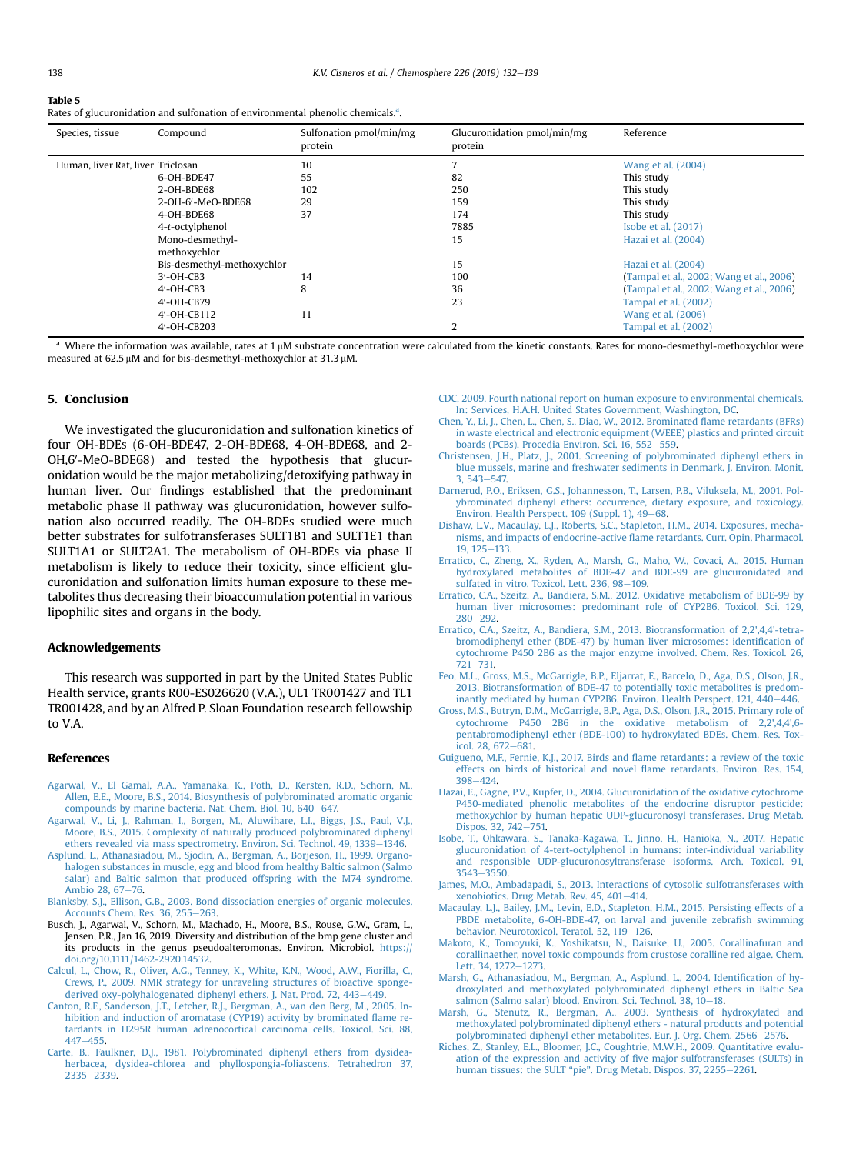<span id="page-6-0"></span>

| Table 5                                                                                      |
|----------------------------------------------------------------------------------------------|
| Rates of glucuronidation and sulfonation of environmental phenolic chemicals. <sup>a</sup> . |

| Species, tissue<br>Compound       | Sulfonation pmol/min/mg<br>protein | Glucuronidation pmol/min/mg<br>protein | Reference                                |
|-----------------------------------|------------------------------------|----------------------------------------|------------------------------------------|
| Human, liver Rat, liver Triclosan | 10                                 |                                        | Wang et al. (2004)                       |
| 6-OH-BDE47                        | 55                                 | 82                                     | This study                               |
| 2-OH-BDE68                        | 102                                | 250                                    | This study                               |
| 2-OH-6'-MeO-BDE68                 | 29                                 | 159                                    | This study                               |
| 4-OH-BDE68                        | 37                                 | 174                                    | This study                               |
| 4-t-octylphenol                   |                                    | 7885                                   | Isobe et al. (2017)                      |
| Mono-desmethyl-                   |                                    | 15                                     | Hazai et al. (2004)                      |
| methoxychlor                      |                                    |                                        |                                          |
| Bis-desmethyl-methoxychlor        |                                    | 15                                     | Hazai et al. (2004)                      |
| $3'$ -OH-CB3                      | 14                                 | 100                                    | (Tampal et al., 2002; Wang et al., 2006) |
| $4'$ -OH-CB3                      | 8                                  | 36                                     | (Tampal et al., 2002; Wang et al., 2006) |
| 4'-OH-CB79                        |                                    | 23                                     | Tampal et al. (2002)                     |
| 4'-OH-CB112                       | 11                                 |                                        | Wang et al. (2006)                       |
| 4'-OH-CB203                       |                                    | 2                                      | Tampal et al. (2002)                     |

Where the information was available, rates at 1  $\mu$ M substrate concentration were calculated from the kinetic constants. Rates for mono-desmethyl-methoxychlor were measured at 62.5  $\mu$ M and for bis-desmethyl-methoxychlor at 31.3  $\mu$ M.

#### 5. Conclusion

We investigated the glucuronidation and sulfonation kinetics of four OH-BDEs (6-OH-BDE47, 2-OH-BDE68, 4-OH-BDE68, and 2- OH,6'-MeO-BDE68) and tested the hypothesis that glucuronidation would be the major metabolizing/detoxifying pathway in human liver. Our findings established that the predominant metabolic phase II pathway was glucuronidation, however sulfonation also occurred readily. The OH-BDEs studied were much better substrates for sulfotransferases SULT1B1 and SULT1E1 than SULT1A1 or SULT2A1. The metabolism of OH-BDEs via phase II metabolism is likely to reduce their toxicity, since efficient glucuronidation and sulfonation limits human exposure to these metabolites thus decreasing their bioaccumulation potential in various lipophilic sites and organs in the body.

### Acknowledgements

This research was supported in part by the United States Public Health service, grants R00-ES026620 (V.A.), UL1 TR001427 and TL1 TR001428, and by an Alfred P. Sloan Foundation research fellowship to V.A.

# References

- [Agarwal, V., El Gamal, A.A., Yamanaka, K., Poth, D., Kersten, R.D., Schorn, M.,](http://refhub.elsevier.com/S0045-6535(19)30545-4/sref1) [Allen, E.E., Moore, B.S., 2014. Biosynthesis of polybrominated aromatic organic](http://refhub.elsevier.com/S0045-6535(19)30545-4/sref1)
- [compounds by marine bacteria. Nat. Chem. Biol. 10, 640](http://refhub.elsevier.com/S0045-6535(19)30545-4/sref1)–[647.](http://refhub.elsevier.com/S0045-6535(19)30545-4/sref1)<br>[Agarwal, V., Li, J., Rahman, I., Borgen, M., Aluwihare, L.I., Biggs, J.S., Paul, V.J.,](http://refhub.elsevier.com/S0045-6535(19)30545-4/sref2) [Moore, B.S., 2015. Complexity of naturally produced polybrominated diphenyl](http://refhub.elsevier.com/S0045-6535(19)30545-4/sref2) [ethers revealed via mass spectrometry. Environ. Sci. Technol. 49, 1339](http://refhub.elsevier.com/S0045-6535(19)30545-4/sref2)-[1346](http://refhub.elsevier.com/S0045-6535(19)30545-4/sref2).
- [Asplund, L., Athanasiadou, M., Sjodin, A., Bergman, A., Borjeson, H., 1999. Organo](http://refhub.elsevier.com/S0045-6535(19)30545-4/sref3)[halogen substances in muscle, egg and blood from healthy Baltic salmon \(Salmo](http://refhub.elsevier.com/S0045-6535(19)30545-4/sref3) [salar\) and Baltic salmon that produced offspring with the M74 syndrome.](http://refhub.elsevier.com/S0045-6535(19)30545-4/sref3) [Ambio 28, 67](http://refhub.elsevier.com/S0045-6535(19)30545-4/sref3)-[76.](http://refhub.elsevier.com/S0045-6535(19)30545-4/sref3)
- [Blanksby, S.J., Ellison, G.B., 2003. Bond dissociation energies of organic molecules.](http://refhub.elsevier.com/S0045-6535(19)30545-4/sref4)<br>[Accounts Chem. Res. 36, 255](http://refhub.elsevier.com/S0045-6535(19)30545-4/sref4)–[263.](http://refhub.elsevier.com/S0045-6535(19)30545-4/sref4)
- Busch, J., Agarwal, V., Schorn, M., Machado, H., Moore, B.S., Rouse, G.W., Gram, L., Jensen, P.R., Jan 16, 2019. Diversity and distribution of the bmp gene cluster and its products in the genus pseudoalteromonas. Environ. Microbiol. [https://](https://doi.org/10.1111/1462-2920.14532) [doi.org/10.1111/1462-2920.14532](https://doi.org/10.1111/1462-2920.14532).
- [Calcul, L., Chow, R., Oliver, A.G., Tenney, K., White, K.N., Wood, A.W., Fiorilla, C.,](http://refhub.elsevier.com/S0045-6535(19)30545-4/sref6) [Crews, P., 2009. NMR strategy for unraveling structures of bioactive sponge](http://refhub.elsevier.com/S0045-6535(19)30545-4/sref6)[derived oxy-polyhalogenated diphenyl ethers. J. Nat. Prod. 72, 443](http://refhub.elsevier.com/S0045-6535(19)30545-4/sref6)-[449](http://refhub.elsevier.com/S0045-6535(19)30545-4/sref6).
- [Canton, R.F., Sanderson, J.T., Letcher, R.J., Bergman, A., van den Berg, M., 2005. In](http://refhub.elsevier.com/S0045-6535(19)30545-4/sref7)[hibition and induction of aromatase \(CYP19\) activity by brominated](http://refhub.elsevier.com/S0045-6535(19)30545-4/sref7) flame re[tardants in H295R human adrenocortical carcinoma cells. Toxicol. Sci. 88,](http://refhub.elsevier.com/S0045-6535(19)30545-4/sref7)  $447 - 455$  $447 - 455$
- [Carte, B., Faulkner, D.J., 1981. Polybrominated diphenyl ethers from dysidea](http://refhub.elsevier.com/S0045-6535(19)30545-4/sref8)[herbacea, dysidea-chlorea and phyllospongia-foliascens. Tetrahedron 37,](http://refhub.elsevier.com/S0045-6535(19)30545-4/sref8) [2335](http://refhub.elsevier.com/S0045-6535(19)30545-4/sref8)-[2339.](http://refhub.elsevier.com/S0045-6535(19)30545-4/sref8)
- [CDC, 2009. Fourth national report on human exposure to environmental chemicals.](http://refhub.elsevier.com/S0045-6535(19)30545-4/sref9) [In: Services, H.A.H. United States Government, Washington, DC](http://refhub.elsevier.com/S0045-6535(19)30545-4/sref9).
- [Chen, Y., Li, J., Chen, L., Chen, S., Diao, W., 2012. Brominated](http://refhub.elsevier.com/S0045-6535(19)30545-4/sref10) flame retardants (BFRs) [in waste electrical and electronic equipment \(WEEE\) plastics and printed circuit](http://refhub.elsevier.com/S0045-6535(19)30545-4/sref10) [boards \(PCBs\). Procedia Environ. Sci. 16, 552](http://refhub.elsevier.com/S0045-6535(19)30545-4/sref10)-[559](http://refhub.elsevier.com/S0045-6535(19)30545-4/sref10).
- [Christensen, J.H., Platz, J., 2001. Screening of polybrominated diphenyl ethers in](http://refhub.elsevier.com/S0045-6535(19)30545-4/sref11) [blue mussels, marine and freshwater sediments in Denmark. J. Environ. Monit.](http://refhub.elsevier.com/S0045-6535(19)30545-4/sref11)  $3.543 - 547.$  $3.543 - 547.$
- [Darnerud, P.O., Eriksen, G.S., Johannesson, T., Larsen, P.B., Viluksela, M., 2001. Pol](http://refhub.elsevier.com/S0045-6535(19)30545-4/sref12)[ybrominated diphenyl ethers: occurrence, dietary exposure, and toxicology.](http://refhub.elsevier.com/S0045-6535(19)30545-4/sref12) [Environ. Health Perspect. 109 \(Suppl. 1\), 49](http://refhub.elsevier.com/S0045-6535(19)30545-4/sref12)-[68.](http://refhub.elsevier.com/S0045-6535(19)30545-4/sref12)
- [Dishaw, L.V., Macaulay, L.J., Roberts, S.C., Stapleton, H.M., 2014. Exposures, mecha](http://refhub.elsevier.com/S0045-6535(19)30545-4/sref13)[nisms, and impacts of endocrine-active](http://refhub.elsevier.com/S0045-6535(19)30545-4/sref13) flame retardants. Curr. Opin. Pharmacol. [19, 125](http://refhub.elsevier.com/S0045-6535(19)30545-4/sref13)-[133.](http://refhub.elsevier.com/S0045-6535(19)30545-4/sref13)
- [Erratico, C., Zheng, X., Ryden, A., Marsh, G., Maho, W., Covaci, A., 2015. Human](http://refhub.elsevier.com/S0045-6535(19)30545-4/sref14) [hydroxylated metabolites of BDE-47 and BDE-99 are glucuronidated and](http://refhub.elsevier.com/S0045-6535(19)30545-4/sref14) [sulfated in vitro. Toxicol. Lett. 236, 98](http://refhub.elsevier.com/S0045-6535(19)30545-4/sref14)-[109.](http://refhub.elsevier.com/S0045-6535(19)30545-4/sref14)
- [Erratico, C.A., Szeitz, A., Bandiera, S.M., 2012. Oxidative metabolism of BDE-99 by](http://refhub.elsevier.com/S0045-6535(19)30545-4/sref15) [human liver microsomes: predominant role of CYP2B6. Toxicol. Sci. 129,](http://refhub.elsevier.com/S0045-6535(19)30545-4/sref15)  $280 - 292.$  $280 - 292.$  $280 - 292.$
- [Erratico, C.A., Szeitz, A., Bandiera, S.M., 2013. Biotransformation of 2,2',4,4'-tetra](http://refhub.elsevier.com/S0045-6535(19)30545-4/sref16)[bromodiphenyl ether \(BDE-47\) by human liver microsomes: identi](http://refhub.elsevier.com/S0045-6535(19)30545-4/sref16)fication of [cytochrome P450 2B6 as the major enzyme involved. Chem. Res. Toxicol. 26,](http://refhub.elsevier.com/S0045-6535(19)30545-4/sref16) [721](http://refhub.elsevier.com/S0045-6535(19)30545-4/sref16)-[731.](http://refhub.elsevier.com/S0045-6535(19)30545-4/sref16)
- [Feo, M.L., Gross, M.S., McGarrigle, B.P., Eljarrat, E., Barcelo, D., Aga, D.S., Olson, J.R.,](http://refhub.elsevier.com/S0045-6535(19)30545-4/sref17) [2013. Biotransformation of BDE-47 to potentially toxic metabolites is predom](http://refhub.elsevier.com/S0045-6535(19)30545-4/sref17)inantly mediated by human CYP2B6. Environ. Health Perspect. 121,  $440-446$ .
- [Gross, M.S., Butryn, D.M., McGarrigle, B.P., Aga, D.S., Olson, J.R., 2015. Primary role of](http://refhub.elsevier.com/S0045-6535(19)30545-4/sref18) [cytochrome P450 2B6 in the oxidative metabolism of 2,2',4,4',6](http://refhub.elsevier.com/S0045-6535(19)30545-4/sref18) [pentabromodiphenyl ether \(BDE-100\) to hydroxylated BDEs. Chem. Res. Tox](http://refhub.elsevier.com/S0045-6535(19)30545-4/sref18)[icol. 28, 672](http://refhub.elsevier.com/S0045-6535(19)30545-4/sref18)-[681.](http://refhub.elsevier.com/S0045-6535(19)30545-4/sref18)
- [Guigueno, M.F., Fernie, K.J., 2017. Birds and](http://refhub.elsevier.com/S0045-6535(19)30545-4/sref19) flame retardants: a review of the toxic [effects on birds of historical and novel](http://refhub.elsevier.com/S0045-6535(19)30545-4/sref19) flame retardants. Environ. Res. 154, [398](http://refhub.elsevier.com/S0045-6535(19)30545-4/sref19)-[424](http://refhub.elsevier.com/S0045-6535(19)30545-4/sref19).
- [Hazai, E., Gagne, P.V., Kupfer, D., 2004. Glucuronidation of the oxidative cytochrome](http://refhub.elsevier.com/S0045-6535(19)30545-4/sref20) [P450-mediated phenolic metabolites of the endocrine disruptor pesticide:](http://refhub.elsevier.com/S0045-6535(19)30545-4/sref20) [methoxychlor by human hepatic UDP-glucuronosyl transferases. Drug Metab.](http://refhub.elsevier.com/S0045-6535(19)30545-4/sref20) [Dispos. 32, 742](http://refhub.elsevier.com/S0045-6535(19)30545-4/sref20)-[751.](http://refhub.elsevier.com/S0045-6535(19)30545-4/sref20)
- [Isobe, T., Ohkawara, S., Tanaka-Kagawa, T., Jinno, H., Hanioka, N., 2017. Hepatic](http://refhub.elsevier.com/S0045-6535(19)30545-4/sref21) [glucuronidation of 4-tert-octylphenol in humans: inter-individual variability](http://refhub.elsevier.com/S0045-6535(19)30545-4/sref21) [and responsible UDP-glucuronosyltransferase isoforms. Arch. Toxicol. 91,](http://refhub.elsevier.com/S0045-6535(19)30545-4/sref21)  $3543 - 3550$  $3543 - 3550$
- [James, M.O., Ambadapadi, S., 2013. Interactions of cytosolic sulfotransferases with](http://refhub.elsevier.com/S0045-6535(19)30545-4/sref22) [xenobiotics. Drug Metab. Rev. 45, 401](http://refhub.elsevier.com/S0045-6535(19)30545-4/sref22)-[414](http://refhub.elsevier.com/S0045-6535(19)30545-4/sref22).
- [Macaulay, L.J., Bailey, J.M., Levin, E.D., Stapleton, H.M., 2015. Persisting effects of a](http://refhub.elsevier.com/S0045-6535(19)30545-4/sref23) [PBDE metabolite, 6-OH-BDE-47, on larval and juvenile zebra](http://refhub.elsevier.com/S0045-6535(19)30545-4/sref23)fish swimming [behavior. Neurotoxicol. Teratol. 52, 119](http://refhub.elsevier.com/S0045-6535(19)30545-4/sref23)-[126.](http://refhub.elsevier.com/S0045-6535(19)30545-4/sref23)
- [Makoto, K., Tomoyuki, K., Yoshikatsu, N., Daisuke, U., 2005. Corallinafuran and](http://refhub.elsevier.com/S0045-6535(19)30545-4/sref24) [corallinaether, novel toxic compounds from crustose coralline red algae. Chem.](http://refhub.elsevier.com/S0045-6535(19)30545-4/sref24) [Lett. 34, 1272](http://refhub.elsevier.com/S0045-6535(19)30545-4/sref24)-[1273.](http://refhub.elsevier.com/S0045-6535(19)30545-4/sref24)
- [Marsh, G., Athanasiadou, M., Bergman, A., Asplund, L., 2004. Identi](http://refhub.elsevier.com/S0045-6535(19)30545-4/sref25)fication of hy[droxylated and methoxylated polybrominated diphenyl ethers in Baltic Sea](http://refhub.elsevier.com/S0045-6535(19)30545-4/sref25)
- [salmon \(Salmo salar\) blood. Environ. Sci. Technol. 38, 10](http://refhub.elsevier.com/S0045-6535(19)30545-4/sref25)–[18.](http://refhub.elsevier.com/S0045-6535(19)30545-4/sref25)<br>[Marsh, G., Stenutz, R., Bergman, A., 2003. Synthesis of hydroxylated and](http://refhub.elsevier.com/S0045-6535(19)30545-4/sref26) [methoxylated polybrominated diphenyl ethers - natural products and potential](http://refhub.elsevier.com/S0045-6535(19)30545-4/sref26) [polybrominated diphenyl ether metabolites. Eur. J. Org. Chem. 2566](http://refhub.elsevier.com/S0045-6535(19)30545-4/sref26)-[2576.](http://refhub.elsevier.com/S0045-6535(19)30545-4/sref26)
- [Riches, Z., Stanley, E.L., Bloomer, J.C., Coughtrie, M.W.H., 2009. Quantitative evalu](http://refhub.elsevier.com/S0045-6535(19)30545-4/sref27)[ation of the expression and activity of](http://refhub.elsevier.com/S0045-6535(19)30545-4/sref27) five major sulfotransferases (SULTs) in human tissues: the SULT "pie"[. Drug Metab. Dispos. 37, 2255](http://refhub.elsevier.com/S0045-6535(19)30545-4/sref27)-[2261.](http://refhub.elsevier.com/S0045-6535(19)30545-4/sref27)